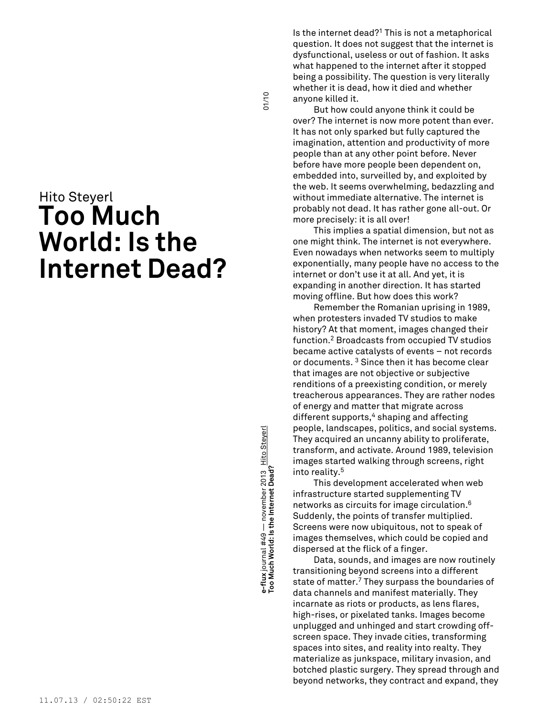# Hito Steyerl **Too Much World: Is the Internet Dead?**

**Too Much World: Is the Internet Dead?** 01/10 e-flux journal #49 — november 2013 <u>Hito Steyerl</u><br>Too Much World: Is the Internet Dead? **e-flux** journal #49 — november 2013 Hito Steyerl

01/10

Is the internet dead?<sup>1</sup> This is not a metaphorical question. It does not suggest that the internet is dysfunctional, useless or out of fashion. It asks what happened to the internet after it stopped being a possibility. The question is very literally whether it is dead, how it died and whether anyone killed it.

But how could anyone think it could be over? The internet is now more potent than ever. It has not only sparked but fully captured the imagination, attention and productivity of more people than at any other point before. Never before have more people been dependent on, embedded into, surveilled by, and exploited by the web. It seems overwhelming, bedazzling and without immediate alternative. The internet is probably not dead. It has rather gone all-out. Or more precisely: it is all over!

This implies a spatial dimension, but not as one might think. The internet is not everywhere. Even nowadays when networks seem to multiply exponentially, many people have no access to the internet or don't use it at all. And yet, it is expanding in another direction. It has started moving offline. But how does this work?

Remember the Romanian uprising in 1989, when protesters invaded TV studios to make history? At that moment, images changed their function. <sup>2</sup> Broadcasts from occupied TV studios became active catalysts of events – not records or documents. <sup>3</sup> Since then it has become clear that images are not objective or subjective renditions of a preexisting condition, or merely treacherous appearances. They are rather nodes of energy and matter that migrate across different supports, <sup>4</sup> shaping and affecting people, landscapes, politics, and social systems. They acquired an uncanny ability to proliferate, transform, and activate. Around 1989, television images started walking through screens, right into reality. 5

This development accelerated when web infrastructure started supplementing TV networks as circuits for image circulation. 6 Suddenly, the points of transfer multiplied. Screens were now ubiquitous, not to speak of images themselves, which could be copied and dispersed at the flick of a finger.

Data, sounds, and images are now routinely transitioning beyond screens into a different state of matter. <sup>7</sup> They surpass the boundaries of data channels and manifest materially. They incarnate as riots or products, as lens flares, high-rises, or pixelated tanks. Images become unplugged and unhinged and start crowding offscreen space. They invade cities, transforming spaces into sites, and reality into realty. They materialize as junkspace, military invasion, and botched plastic surgery. They spread through and beyond networks, they contract and expand, they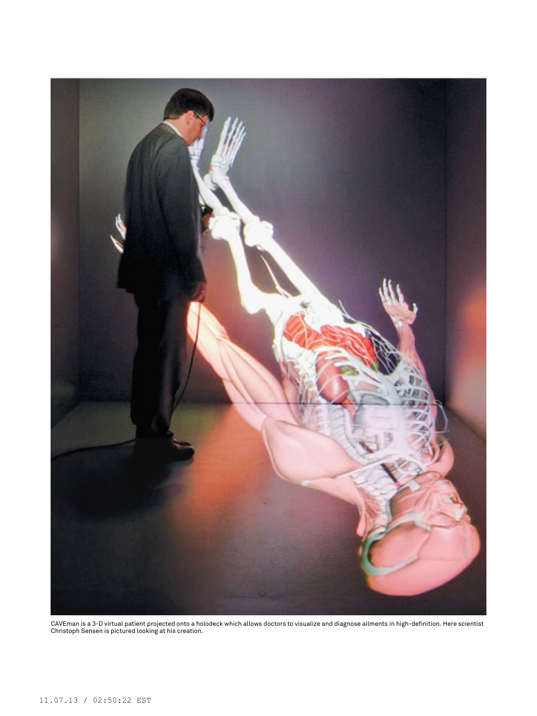

CAVEman is a 3-D virtual patient projected onto a holodeck which allows doctors to visualize and diagnose ailments in high-definition. Here scientist Christoph Sensen is pictured looking at his creation.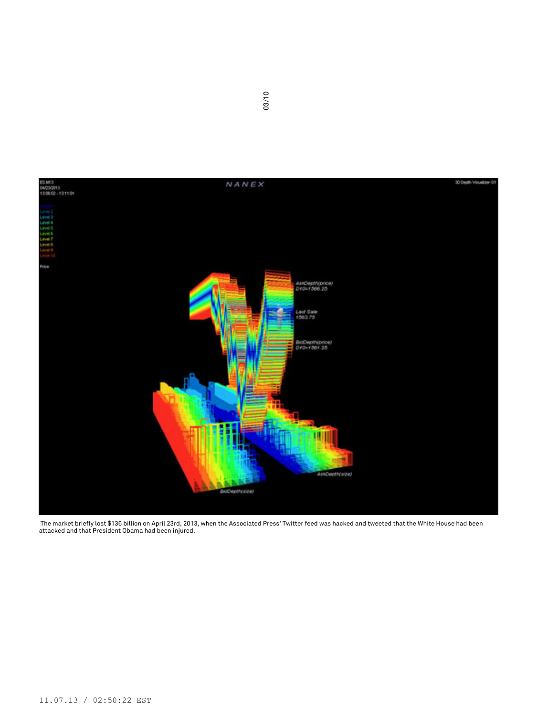

The market briefly lost \$136 billion on April 23rd, 2013, when the Associated Press' Twitter feed was hacked and tweeted that the White House had been attacked and that President Obama had been injured.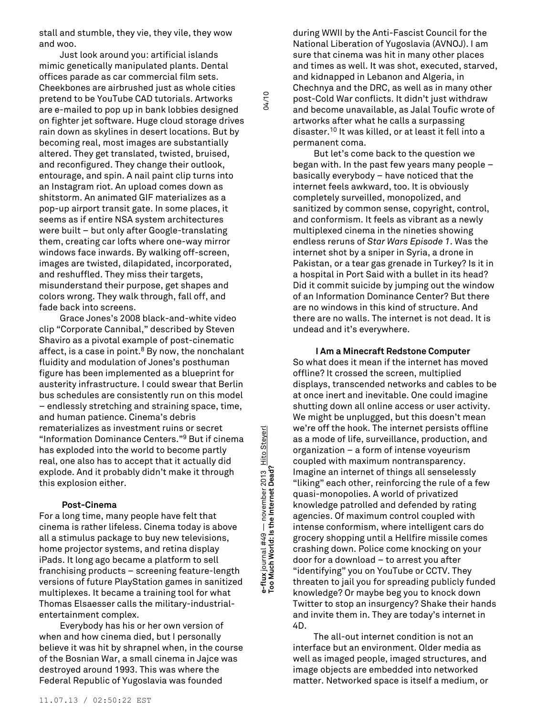stall and stumble, they vie, they vile, they wow and woo.

Just look around you: artificial islands mimic genetically manipulated plants. Dental offices parade as car commercial film sets. Cheekbones are airbrushed just as whole cities pretend to be YouTube CAD tutorials. Artworks are e-mailed to pop up in bank lobbies designed on fighter jet software. Huge cloud storage drives rain down as skylines in desert locations. But by becoming real, most images are substantially altered. They get translated, twisted, bruised, and reconfigured. They change their outlook, entourage, and spin. A nail paint clip turns into an Instagram riot. An upload comes down as shitstorm. An animated GIF materializes as a pop-up airport transit gate. In some places, it seems as if entire NSA system architectures were built – but only after Google-translating them, creating car lofts where one-way mirror windows face inwards. By walking off-screen, images are twisted, dilapidated, incorporated, and reshuffled. They miss their targets, misunderstand their purpose, get shapes and colors wrong. They walk through, fall off, and fade back into screens.

Grace Jones's 2008 black-and-white video clip "Corporate Cannibal," described by Steven Shaviro as a pivotal example of post-cinematic affect, is a case in point. <sup>8</sup> By now, the nonchalant fluidity and modulation of Jones's posthuman figure has been implemented as a blueprint for austerity infrastructure. I could swear that Berlin bus schedules are consistently run on this model – endlessly stretching and straining space, time, and human patience. Cinema's debris rematerializes as investment ruins or secret "Information Dominance Centers." <sup>9</sup> But if cinema has exploded into the world to become partly real, one also has to accept that it actually did explode. And it probably didn't make it through this explosion either.

**Post-Cinema**

For a long time, many people have felt that cinema is rather lifeless. Cinema today is above all a stimulus package to buy new televisions, home projector systems, and retina display iPads. It long ago became a platform to sell franchising products – screening feature-length versions of future PlayStation games in sanitized multiplexes. It became a training tool for what Thomas Elsaesser calls the military-industrialentertainment complex.

Everybody has his or her own version of when and how cinema died, but I personally believe it was hit by shrapnel when, in the course of the Bosnian War, a small cinema in Jajce was destroyed around 1993. This was where the Federal Republic of Yugoslavia was founded

during WWII by the Anti-Fascist Council for the National Liberation of Yugoslavia (AVNOJ). I am sure that cinema was hit in many other places and times as well. It was shot, executed, starved, and kidnapped in Lebanon and Algeria, in Chechnya and the DRC, as well as in many other post-Cold War conflicts. It didn't just withdraw and become unavailable, as Jalal Toufic wrote of artworks after what he calls a surpassing disaster. <sup>10</sup> It was killed, or at least it fell into a permanent coma.

But let's come back to the question we began with. In the past few years many people – basically everybody – have noticed that the internet feels awkward, too. It is obviously completely surveilled, monopolized, and sanitized by common sense, copyright, control, and conformism. It feels as vibrant as a newly multiplexed cinema in the nineties showing endless reruns of *Star Wars Episode 1*. Was the internet shot by a sniper in Syria, a drone in Pakistan, or a tear gas grenade in Turkey? Is it in a hospital in Port Said with a bullet in its head? Did it commit suicide by jumping out the window of an Information Dominance Center? But there are no windows in this kind of structure. And there are no walls. The internet is not dead. It is undead and it's everywhere.

**I Am a Minecraft Redstone Computer** So what does it mean if the internet has moved offline? It crossed the screen, multiplied displays, transcended networks and cables to be at once inert and inevitable. One could imagine shutting down all online access or user activity. We might be unplugged, but this doesn't mean we're off the hook. The internet persists offline as a mode of life, surveillance, production, and organization – a form of intense voyeurism coupled with maximum nontransparency. Imagine an internet of things all senselessly "liking" each other, reinforcing the rule of a few quasi-monopolies. A world of privatized knowledge patrolled and defended by rating agencies. Of maximum control coupled with intense conformism, where intelligent cars do grocery shopping until a Hellfire missile comes crashing down. Police come knocking on your door for a download – to arrest you after "identifying" you on YouTube or CCTV. They threaten to jail you for spreading publicly funded knowledge? Or maybe beg you to knock down Twitter to stop an insurgency? Shake their hands and invite them in. They are today's internet in 4D.

The all-out internet condition is not an interface but an environment. Older media as well as imaged people, imaged structures, and image objects are embedded into networked matter. Networked space is itself a medium, or

**e-flux** journal #49 — november 2013 Hito Steyerl

e-flux journal #49 — november 2013 <u>Hito Steyerl</u><br>Too Much World: I**s the Internet Dead?** 

**Too Much World: Is the Internet Dead?** 04/10

04/10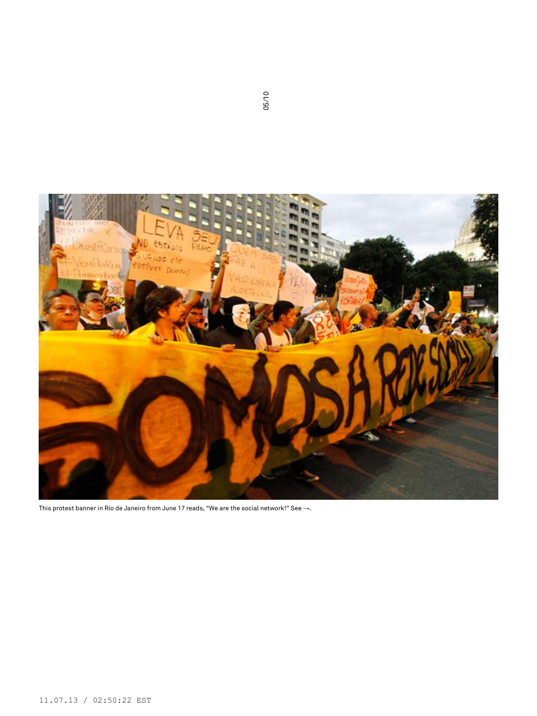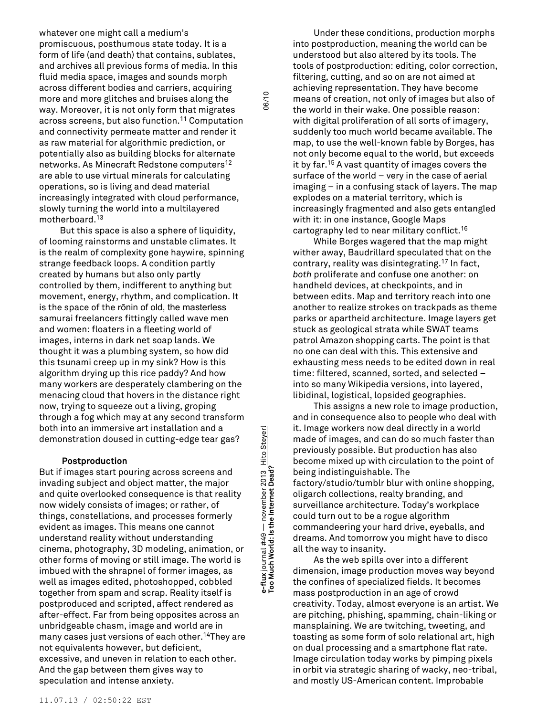whatever one might call a medium's promiscuous, posthumous state today. It is a form of life (and death) that contains, sublates, and archives all previous forms of media. In this fluid media space, images and sounds morph across different bodies and carriers, acquiring more and more glitches and bruises along the way. Moreover, it is not only form that migrates across screens, but also function. <sup>11</sup> Computation and connectivity permeate matter and render it as raw material for algorithmic prediction, or potentially also as building blocks for alternate networks. As Minecraft Redstone computers 12 are able to use virtual minerals for calculating operations, so is living and dead material increasingly integrated with cloud performance, slowly turning the world into a multilayered motherboard. 13

But this space is also a sphere of liquidity, of looming rainstorms and unstable climates. It is the realm of complexity gone haywire, spinning strange feedback loops. A condition partly created by humans but also only partly controlled by them, indifferent to anything but movement, energy, rhythm, and complication. It is the space of the rōnin of old, the masterless samurai freelancers fittingly called wave men and women: floaters in a fleeting world of images, interns in dark net soap lands. We thought it was a plumbing system, so how did this tsunami creep up in my sink? How is this algorithm drying up this rice paddy? And how many workers are desperately clambering on the menacing cloud that hovers in the distance right now, trying to squeeze out a living, groping through a fog which may at any second transform both into an immersive art installation and a demonstration doused in cutting-edge tear gas?

# **Postproduction**

But if images start pouring across screens and invading subject and object matter, the major and quite overlooked consequence is that reality now widely consists of images; or rather, of things, constellations, and processes formerly evident as images. This means one cannot understand reality without understanding cinema, photography, 3D modeling, animation, or other forms of moving or still image. The world is imbued with the shrapnel of former images, as well as images edited, photoshopped, cobbled together from spam and scrap. Reality itself is postproduced and scripted, affect rendered as after-effect. Far from being opposites across an unbridgeable chasm, image and world are in many cases just versions of each other. <sup>14</sup>They are not equivalents however, but deficient, excessive, and uneven in relation to each other. And the gap between them gives way to speculation and intense anxiety.

Under these conditions, production morphs into postproduction, meaning the world can be understood but also altered by its tools. The tools of postproduction: editing, color correction, filtering, cutting, and so on are not aimed at achieving representation. They have become means of creation, not only of images but also of the world in their wake. One possible reason: with digital proliferation of all sorts of imagery, suddenly too much world became available. The map, to use the well-known fable by Borges, has not only become equal to the world, but exceeds it by far. <sup>15</sup> A vast quantity of images covers the surface of the world – very in the case of aerial imaging – in a confusing stack of layers. The map explodes on a material territory, which is increasingly fragmented and also gets entangled with it: in one instance, Google Maps cartography led to near military conflict. 16

While Borges wagered that the map might wither away, Baudrillard speculated that on the contrary, reality was disintegrating. <sup>17</sup> In fact, *both* proliferate and confuse one another: on handheld devices, at checkpoints, and in between edits. Map and territory reach into one another to realize strokes on trackpads as theme parks or apartheid architecture. Image layers get stuck as geological strata while SWAT teams patrol Amazon shopping carts. The point is that no one can deal with this. This extensive and exhausting mess needs to be edited down in real time: filtered, scanned, sorted, and selected – into so many Wikipedia versions, into layered, libidinal, logistical, lopsided geographies.

This assigns a new role to image production, and in consequence also to people who deal with it. Image workers now deal directly in a world made of images, and can do so much faster than previously possible. But production has also become mixed up with circulation to the point of being indistinguishable. The factory/studio/tumblr blur with online shopping, oligarch collections, realty branding, and surveillance architecture. Today's workplace could turn out to be a rogue algorithm commandeering your hard drive, eyeballs, and dreams. And tomorrow you might have to disco all the way to insanity.

As the web spills over into a different dimension, image production moves way beyond the confines of specialized fields. It becomes mass postproduction in an age of crowd creativity. Today, almost everyone is an artist. We are pitching, phishing, spamming, chain-liking or mansplaining. We are twitching, tweeting, and toasting as some form of solo relational art, high on dual processing and a smartphone flat rate. Image circulation today works by pimping pixels in orbit via strategic sharing of wacky, neo-tribal, and mostly US-American content. Improbable

**Too Much World: Is the Internet Dead?** 06/10 e-flux journal #49 — november 2013 <u>Hito Steyerl</u><br>Too Much World**: Is the Internet Dead? e-flux** journal #49 — november 2013 Hito Steyerl

06/10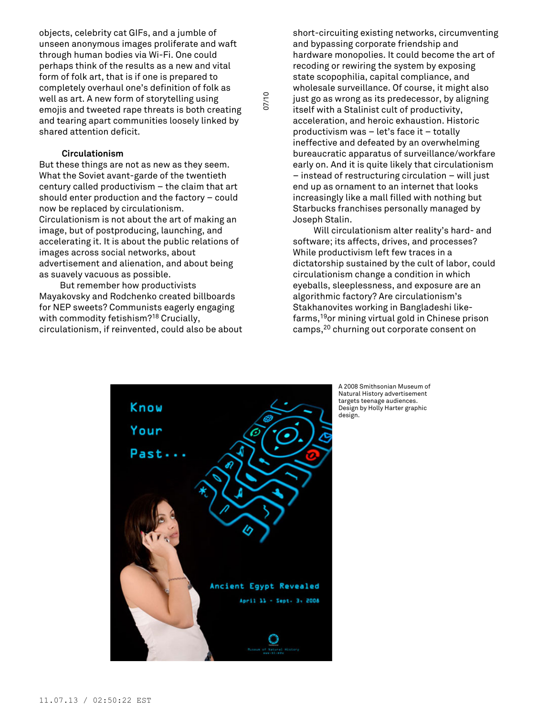objects, celebrity cat GIFs, and a jumble of unseen anonymous images proliferate and waft through human bodies via Wi-Fi. One could perhaps think of the results as a new and vital form of folk art, that is if one is prepared to completely overhaul one's definition of folk as well as art. A new form of storytelling using emojis and tweeted rape threats is both creating and tearing apart communities loosely linked by shared attention deficit.

## **Circulationism**

But these things are not as new as they seem. What the Soviet avant-garde of the twentieth century called productivism – the claim that art should enter production and the factory – could now be replaced by circulationism. Circulationism is not about the art of making an image, but of postproducing, launching, and accelerating it. It is about the public relations of images across social networks, about advertisement and alienation, and about being as suavely vacuous as possible.

But remember how productivists Mayakovsky and Rodchenko created billboards for NEP sweets? Communists eagerly engaging with commodity fetishism? <sup>18</sup> Crucially, circulationism, if reinvented, could also be about

short-circuiting existing networks, circumventing and bypassing corporate friendship and hardware monopolies. It could become the art of recoding or rewiring the system by exposing state scopophilia, capital compliance, and wholesale surveillance. Of course, it might also just go as wrong as its predecessor, by aligning itself with a Stalinist cult of productivity, acceleration, and heroic exhaustion. Historic productivism was – let's face it – totally ineffective and defeated by an overwhelming bureaucratic apparatus of surveillance/workfare early on. And it is quite likely that circulationism – instead of restructuring circulation – will just end up as ornament to an internet that looks increasingly like a mall filled with nothing but Starbucks franchises personally managed by Joseph Stalin.

Will circulationism alter reality's hard- and software; its affects, drives, and processes? While productivism left few traces in a dictatorship sustained by the cult of labor, could circulationism change a condition in which eyeballs, sleeplessness, and exposure are an algorithmic factory? Are circulationism's Stakhanovites working in Bangladeshi likefarms, <sup>19</sup>or mining virtual gold in Chinese prison camps, <sup>20</sup> churning out corporate consent on



07/10

A 2008 Smithsonian Museum of Natural History advertisement targets teenage audiences. Design by Holly Harter graphic design.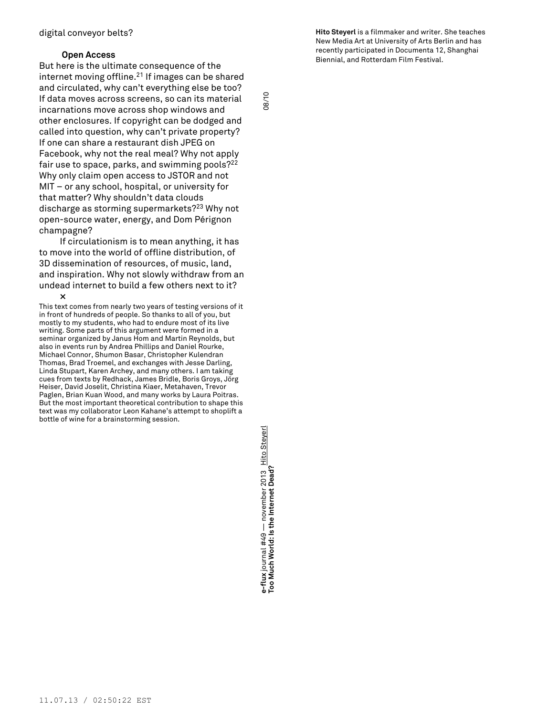# **Open Access**

But here is the ultimate consequence of the internet moving offline. <sup>21</sup> If images can be shared and circulated, why can't everything else be too? If data moves across screens, so can its material incarnations move across shop windows and other enclosures. If copyright can be dodged and called into question, why can't private property? If one can share a restaurant dish JPEG on Facebook, why not the real meal? Why not apply fair use to space, parks, and swimming pools?<sup>22</sup> Why only claim open access to JSTOR and not MIT – or any school, hospital, or university for that matter? Why shouldn't data clouds discharge as storming supermarkets? <sup>23</sup> Why not open-source water, energy, and Dom Pérignon champagne?

If circulationism is to mean anything, it has to move into the world of offline distribution, of 3D dissemination of resources, of music, land, and inspiration. Why not slowly withdraw from an undead internet to build a few others next to it?

**×** This text comes from nearly two years of testing versions of it in front of hundreds of people. So thanks to all of you, but mostly to my students, who had to endure most of its live writing. Some parts of this argument were formed in a seminar organized by Janus Hom and Martin Reynolds, but also in events run by Andrea Phillips and Daniel Rourke, Michael Connor, Shumon Basar, Christopher Kulendran Thomas, Brad Troemel, and exchanges with Jesse Darling, Linda Stupart, Karen Archey, and many others. I am taking cues from texts by Redhack, James Bridle, Boris Groys, Jörg Heiser, David Joselit, Christina Kiaer, Metahaven, Trevor Paglen, Brian Kuan Wood, and many works by Laura Poitras. But the most important theoretical contribution to shape this text was my collaborator Leon Kahane's attempt to shoplift a bottle of wine for a brainstorming session.

**Too Much World: Is the Internet Dead?** 08/10 e-flux journal #49 — november 2013 Hito Steyerl<br>Too Much World: Is the Internet Dead? **e-flux** journal #49 — november 2013 Hito Steyerl

08/10

11.07.13 / 02:50:22 EST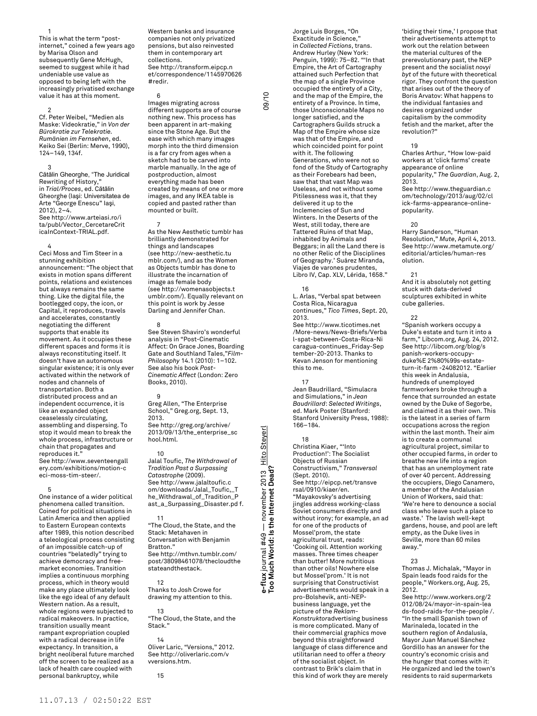1

This is what the term "postinternet," coined a few years ago by Marisa Olson and subsequently Gene McHugh, seemed to suggest while it had undeniable use value as opposed to being left with the increasingly privatised exchange value it has at this moment.

2 Cf. Peter Weibel, "Medien als Maske: Videokratie," in *Von der Bürokratie zur Telekratie. Rumänien im Fernsehen*, ed. Keiko Sei (Berlin: Merve, 1990), 124–149, 134f.

3 Cătălin Gheorghe, "The Juridical Rewriting of History," in *Trial/Proces*, ed. Cătălin Gheorghe (Iaşi: Universitatea de Arte "George Enescu" Iaşi,  $2012$ ),  $2-4$ . See http://www.arteiasi.ro/i ta/publ/Vector\_CercetareCrit icaInContext-TRIAL.pdf.

4 Ceci Moss and Tim Steer in a stunning exhibition announcement: "The object that exists in motion spans different points, relations and existences but always remains the same thing. Like the digital file, the bootlegged copy, the icon, or Capital, it reproduces, travels and accelerates, constantly negotiating the different supports that enable its movement. As it occupies these different spaces and forms it is always reconstituting itself. It doesn't have an autonomous singular existence; it is only ever activated within the network of nodes and channels of transportation. Both a distributed process and an independent occurrence, it is like an expanded object ceaselessly circulating, assembling and dispersing. To stop it would mean to break the whole process, infrastructure or chain that propagates and reproduces it." See http://www.seventeengall ery.com/exhibitions/motion-c eci-moss-tim-steer/.

5 One instance of a wider political phenomena called transition. Coined for political situations in Latin America and then applied to Eastern European contexts after 1989, this notion described a teleological process consisting of an impossible catch-up of countries "belatedly" trying to achieve democracy and freemarket economies. Transition implies a continuous morphing process, which in theory would make any place ultimately look like the ego ideal of any default Western nation. As a result, whole regions were subjected to radical makeovers. In practice, transition usually meant rampant expropriation coupled with a radical decrease in life expectancy. In transition, a bright neoliberal future marched off the screen to be realized as a lack of health care coupled with personal bankruptcy, while

Western banks and insurance companies not only privatized pensions, but also reinvested them in contemporary art collections. See http://transform.eipcp.n et/correspondence/1145970626 #redir.

### 6 Images migrating across

different supports are of course nothing new. This process has been apparent in art-making since the Stone Age. But the ease with which many images morph into the third dimension is a far cry from ages when a sketch had to be carved into marble manually. In the age of postproduction, almost everything made has been created by means of one or more images, and any IKEA table is copied and pasted rather than mounted or built.

### 7

As the New Aesthetic tumblr has brilliantly demonstrated for things and landscapes (see http://new-aesthetic.tu mblr.com/), and as the Women as Objects tumblr has done to illustrate the incarnation of image as female body (see http://womenasobjects.t umblr.com/). Equally relevant on this point is work by Jesse Darling and Jennifer Chan.

### 8

See Steven Shaviro's wonderful analysis in "Post-Cinematic Affect: On Grace Jones, Boarding Gate and Southland Tales,"*Film-Philosophy* 14.1 (2010): 1–102. See also his book *Post-Cinematic Affect* (London: Zero Books, 2010).

### $\overline{9}$

Greg Allen, "The Enterprise School," Greg.org, Sept. 13, 2013. See http://greg.org/archive/ 2013/09/13/the\_enterprise\_sc

# hool.html. 10

Jalal Toufic, *The Withdrawal of Tradition Past a Surpassing Catastrophe* (2009). See http://www.jalaltoufic.c om/downloads/Jalal\_Toufic,\_T he\_Withdrawal\_of\_Tradition\_P ast\_a\_Surpassing\_Disaster.pd f.

11 "The Cloud, the State, and the Stack: Metahaven in Conversation with Benjamin Bratton." See http://mthvn.tumblr.com/ post/38098461078/thecloudthe stateandthestack.

12 Thanks to Josh Crowe for drawing my attention to this.

### 13

"The Cloud, the State, and the Stack."

### 14

Oliver Laric, "Versions," 2012. See http://oliverlaric.com/v vversions.htm.

15

Jorge Luis Borges, "On Exactitude in Science," in *Collected Fictions*, trans. Andrew Hurley (New York: Penguin, 1999): 75–82. "'In that Empire, the Art of Cartography attained such Perfection that the map of a single Province occupied the entirety of a City, and the map of the Empire, the entirety of a Province. In time, those Unconscionable Maps no longer satisfied, and the Cartographers Guilds struck a Map of the Empire whose size was that of the Empire, and which coincided point for point with it. The following Generations, who were not so fond of the Study of Cartography as their Forebears had been, saw that that vast Map was Useless, and not without some Pitilessness was it, that they delivered it up to the Inclemencies of Sun and Winters. In the Deserts of the West, still today, there are Tattered Ruins of that Map, inhabited by Animals and Beggars; in all the Land there is no other Relic of the Disciplines of Geography.' Suárez Miranda,

### 16

L. Arlas, "Verbal spat between Costa Rica, Nicaragua continues," *Tico Times*, Sept. 20, 2013.

Viajes de varones prudentes, Libro IV, Cap. XLV, Lérida, 1658."

See http://www.ticotimes.net /More-news/News-Briefs/Verba l-spat-between-Costa-Rica-Ni caragua-continues\_Friday-Sep tember-20-2013. Thanks to Kevan Jenson for mentioning this to me.

### 17

Jean Baudrillard, "Simulacra and Simulations," in *Jean Baudrillard*: *Selected Writings*, ed. Mark Poster (Stanford: Stanford University Press, 1988): 166–184.

### 18

**e-flux** journal #49 — november 2013 Hito Steyerl

e-flux journal #49 — november<br>Too Much World: Is the Internet

— november 2013 Hito Steyerl<br>**sthe Internet Dead?** 

**Too Much World: Is the Internet Dead?** 09/10

09/10

Christina Kiaer, "'Into Production!': The Socialist Objects of Russian Constructivism," *Transversal* (Sept. 2010). See http://eipcp.net/transve rsal/0910/kiaer/en. "Mayakovsky's advertising jingles address working-class Soviet consumers directly and without irony; for example, an ad for one of the products of Mossel'prom, the state agricultural trust, reads: 'Cooking oil. Attention working masses. Three times cheaper than butter! More nutritious than other oils! Nowhere else but Mossel'prom.' It is not surprising that Constructivist advertisements would speak in a pro-Bolshevik, anti-NEPbusiness language, yet the picture of the *Reklam-Konstruktor*advertising business is more complicated. Many of their commercial graphics move beyond this straightforward language of class difference and utilitarian need to offer a *theory* of the socialist object. In contrast to Brik's claim that in this kind of work they are merely

'biding their time,' I propose that their advertisements attempt to work out the relation between the material cultures of the prerevolutionary past, the NEP present and the socialist *novyi byt* of the future with theoretical rigor. They confront the question that arises out of the theory of Boris Arvatov: What happens to the individual fantasies and desires organized under capitalism by the commodity fetish and the market, after the revolution?"

### 19

Charles Arthur, "How low-paid workers at 'click farms' create appearance of online popularity," *The Guardian*, Aug. 2, 2013. See http://www.theguardian.c om/technology/2013/aug/02/cl ick-farms-appearance-onlinepopularity.

### 20

Harry Sanderson, "Human Resolution," *Mute*, April 4, 2013. See http://www.metamute.org/ editorial/articles/human-res olution.

### 21

And it is absolutely not getting stuck with data-derived sculptures exhibited in white cube galleries.

### 22

"Spanish workers occupy a Duke's estate and turn it into a farm," Libcom.org, Aug. 24, 2012. See http://libcom.org/blog/s panish-workers-occupyduke%E 2%80%99s-estateturn-it-farm -24082012. "Earlier this week in Andalusia, hundreds of unemployed farmworkers broke through a fence that surrounded an estate owned by the Duke of Segorbe, and claimed it as their own. This is the latest in a series of farm occupations across the region within the last month. Their aim is to create a communal agricultural project, similar to other occupied farms, in order to breathe new life into a region that has an unemployment rate of over 40 percent. Addressing the occupiers, Diego Canamero, a member of the Andalusian Union of Workers, said that: 'We're here to denounce a social class who leave such a place to waste.' The lavish well-kept gardens, house, and pool are left empty, as the Duke lives in Seville, more than 60 miles away.

### 23

Thomas J. Michalak, "Mayor in Spain leads food raids for the people," Workers.org, Aug. 25, 2012.

See http://www.workers.org/2 012/08/24/mayor-in-spain-lea ds-food-raids-for-the-people /. "In the small Spanish town of Marinaleda, located in the southern region of Andalusía, Mayor Juan Manuel Sánchez Gordillo has an answer for the country's economic crisis and the hunger that comes with it: He organized and led the town's residents to raid supermarkets